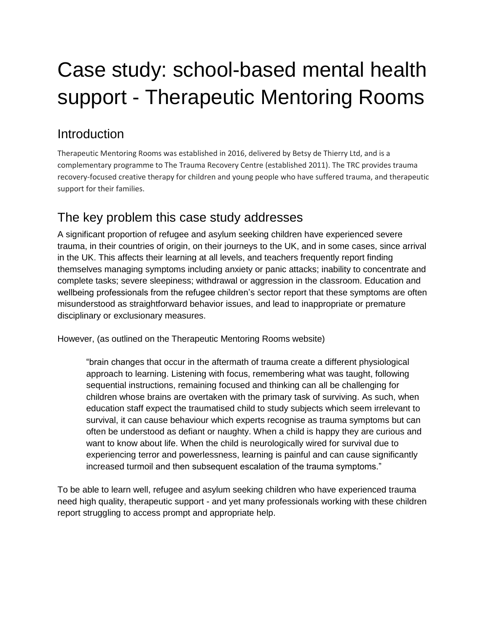# Case study: school-based mental health support - Therapeutic Mentoring Rooms

## Introduction

Therapeutic Mentoring Rooms was established in 2016, delivered by Betsy de Thierry Ltd, and is a complementary programme to The Trauma Recovery Centre (established 2011). The TRC provides trauma recovery-focused creative therapy for children and young people who have suffered trauma, and therapeutic support for their families.

## The key problem this case study addresses

A significant proportion of refugee and asylum seeking children have experienced severe trauma, in their countries of origin, on their journeys to the UK, and in some cases, since arrival in the UK. This affects their learning at all levels, and teachers frequently report finding themselves managing symptoms including anxiety or panic attacks; inability to concentrate and complete tasks; severe sleepiness; withdrawal or aggression in the classroom. Education and wellbeing professionals from the refugee children's sector report that these symptoms are often misunderstood as straightforward behavior issues, and lead to inappropriate or premature disciplinary or exclusionary measures.

However, (as outlined on the Therapeutic Mentoring Rooms website)

"brain changes that occur in the aftermath of trauma create a different physiological approach to learning. Listening with focus, remembering what was taught, following sequential instructions, remaining focused and thinking can all be challenging for children whose brains are overtaken with the primary task of surviving. As such, when education staff expect the traumatised child to study subjects which seem irrelevant to survival, it can cause behaviour which experts recognise as trauma symptoms but can often be understood as defiant or naughty. When a child is happy they are curious and want to know about life. When the child is neurologically wired for survival due to experiencing terror and powerlessness, learning is painful and can cause significantly increased turmoil and then subsequent escalation of the trauma symptoms."

To be able to learn well, refugee and asylum seeking children who have experienced trauma need high quality, therapeutic support - and yet many professionals working with these children report struggling to access prompt and appropriate help.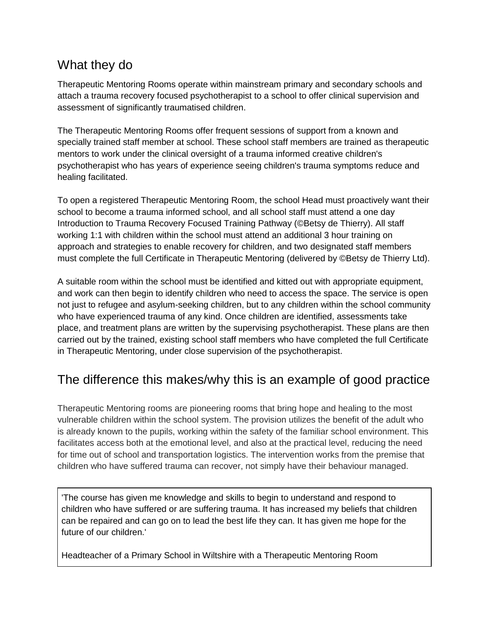### What they do

Therapeutic Mentoring Rooms operate within mainstream primary and secondary schools and attach a trauma recovery focused psychotherapist to a school to offer clinical supervision and assessment of significantly traumatised children.

The Therapeutic Mentoring Rooms offer frequent sessions of support from a known and specially trained staff member at school. These school staff members are trained as therapeutic mentors to work under the clinical oversight of a trauma informed creative children's psychotherapist who has years of experience seeing children's trauma symptoms reduce and healing facilitated.

To open a registered Therapeutic Mentoring Room, the school Head must proactively want their school to become a trauma informed school, and all school staff must attend a one day Introduction to Trauma Recovery Focused Training Pathway (©Betsy de Thierry). All staff working 1:1 with children within the school must attend an additional 3 hour training on approach and strategies to enable recovery for children, and two designated staff members must complete the full Certificate in Therapeutic Mentoring (delivered by ©Betsy de Thierry Ltd).

A suitable room within the school must be identified and kitted out with appropriate equipment, and work can then begin to identify children who need to access the space. The service is open not just to refugee and asylum-seeking children, but to any children within the school community who have experienced trauma of any kind. Once children are identified, assessments take place, and treatment plans are written by the supervising psychotherapist. These plans are then carried out by the trained, existing school staff members who have completed the full Certificate in Therapeutic Mentoring, under close supervision of the psychotherapist.

## The difference this makes/why this is an example of good practice

Therapeutic Mentoring rooms are pioneering rooms that bring hope and healing to the most vulnerable children within the school system. The provision utilizes the benefit of the adult who is already known to the pupils, working within the safety of the familiar school environment. This facilitates access both at the emotional level, and also at the practical level, reducing the need for time out of school and transportation logistics. The intervention works from the premise that children who have suffered trauma can recover, not simply have their behaviour managed.

'The course has given me knowledge and skills to begin to understand and respond to children who have suffered or are suffering trauma. It has increased my beliefs that children can be repaired and can go on to lead the best life they can. It has given me hope for the future of our children.'

Headteacher of a Primary School in Wiltshire with a Therapeutic Mentoring Room